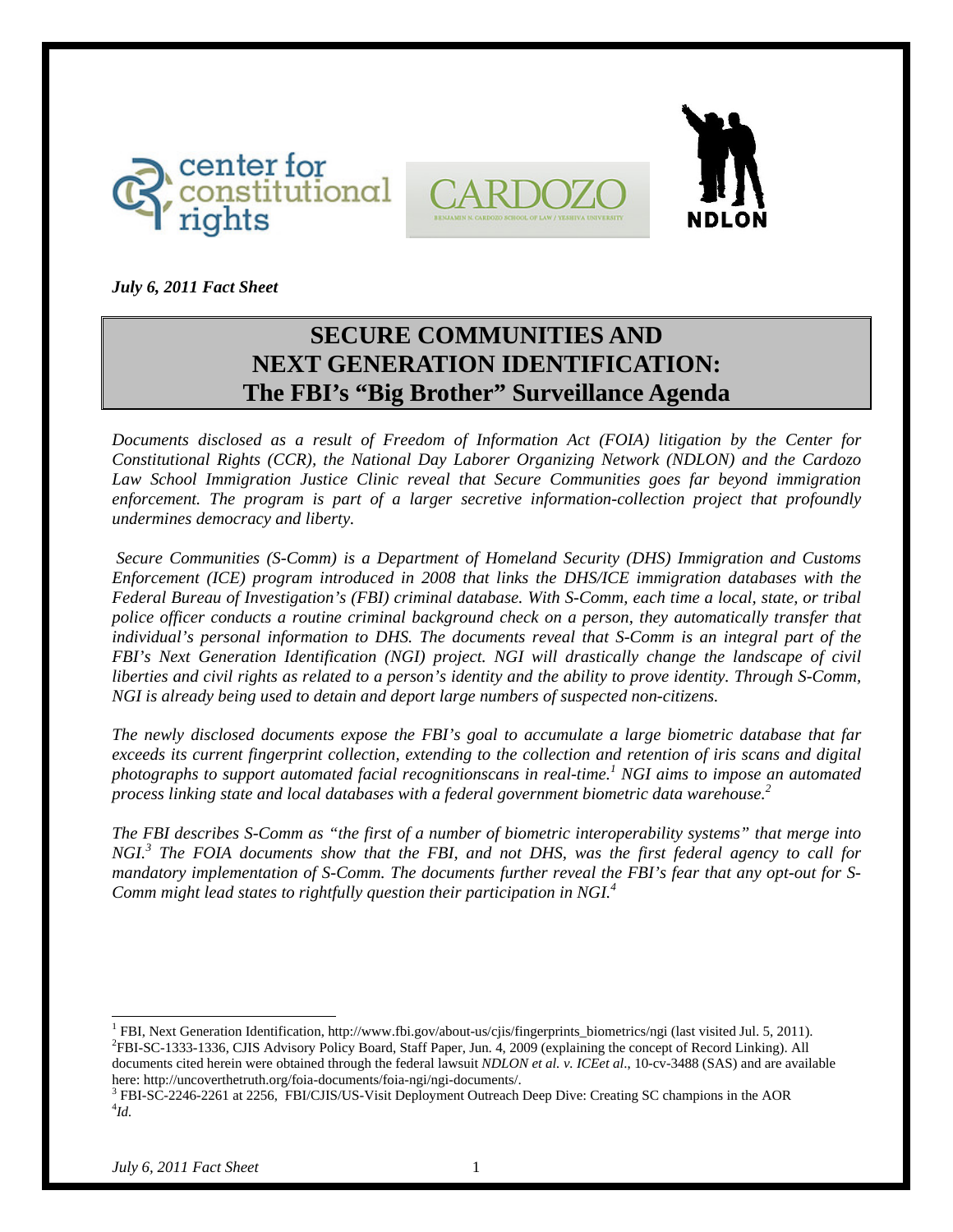





*July 6, 2011 Fact Sheet* 

# **SECURE COMMUNITIES AND NEXT GENERATION IDENTIFICATION: The FBI's "Big Brother" Surveillance Agenda**

*Documents disclosed as a result of Freedom of Information Act (FOIA) litigation by the Center for Constitutional Rights (CCR), the National Day Laborer Organizing Network (NDLON) and the Cardozo*  Law School Immigration Justice Clinic reveal that Secure Communities goes far beyond immigration *enforcement. The program is part of a larger secretive information-collection project that profoundly undermines democracy and liberty.* 

 *Secure Communities (S-Comm) is a Department of Homeland Security (DHS) Immigration and Customs Enforcement (ICE) program introduced in 2008 that links the DHS/ICE immigration databases with the Federal Bureau of Investigation's (FBI) criminal database. With S-Comm, each time a local, state, or tribal police officer conducts a routine criminal background check on a person, they automatically transfer that individual's personal information to DHS. The documents reveal that S-Comm is an integral part of the FBI's Next Generation Identification (NGI) project. NGI will drastically change the landscape of civil liberties and civil rights as related to a person's identity and the ability to prove identity. Through S-Comm, NGI is already being used to detain and deport large numbers of suspected non-citizens.* 

*The newly disclosed documents expose the FBI's goal to accumulate a large biometric database that far exceeds its current fingerprint collection, extending to the collection and retention of iris scans and digital photographs to support automated facial recognitionscans in real-time.<sup>1</sup> NGI aims to impose an automated process linking state and local databases with a federal government biometric data warehouse.<sup>2</sup>*

*The FBI describes S-Comm as "the first of a number of biometric interoperability systems" that merge into NGI.<sup>3</sup> The FOIA documents show that the FBI, and not DHS, was the first federal agency to call for mandatory implementation of S-Comm. The documents further reveal the FBI's fear that any opt-out for S-Comm might lead states to rightfully question their participation in NGI.<sup>4</sup>*

 $\overline{a}$ <sup>1</sup> FBI, Next Generation Identification, http://www.fbi.gov/about-us/cjis/fingerprints\_biometrics/ngi (last visited Jul. 5, 2011). <sup>2</sup>EPI SC 1222 1226 CUS Advisory Roliny Board, Staff Bancs, Jul. 4, 2000 (avalations the c <sup>2</sup>FBI-SC-1333-1336, CJIS Advisory Policy Board, Staff Paper, Jun. 4, 2009 (explaining the concept of Record Linking). All documents cited herein were obtained through the federal lawsuit *NDLON et al. v. ICEet al*., 10-cv-3488 (SAS) and are available here: http://uncoverthetruth.org/foia-documents/foia-ngi/ngi-documents/. <sup>3</sup>

<sup>3</sup> FBI-SC-2246-2261 at 2256, FBI/CJIS/US-Visit Deployment Outreach Deep Dive: Creating SC champions in the AOR *Id.*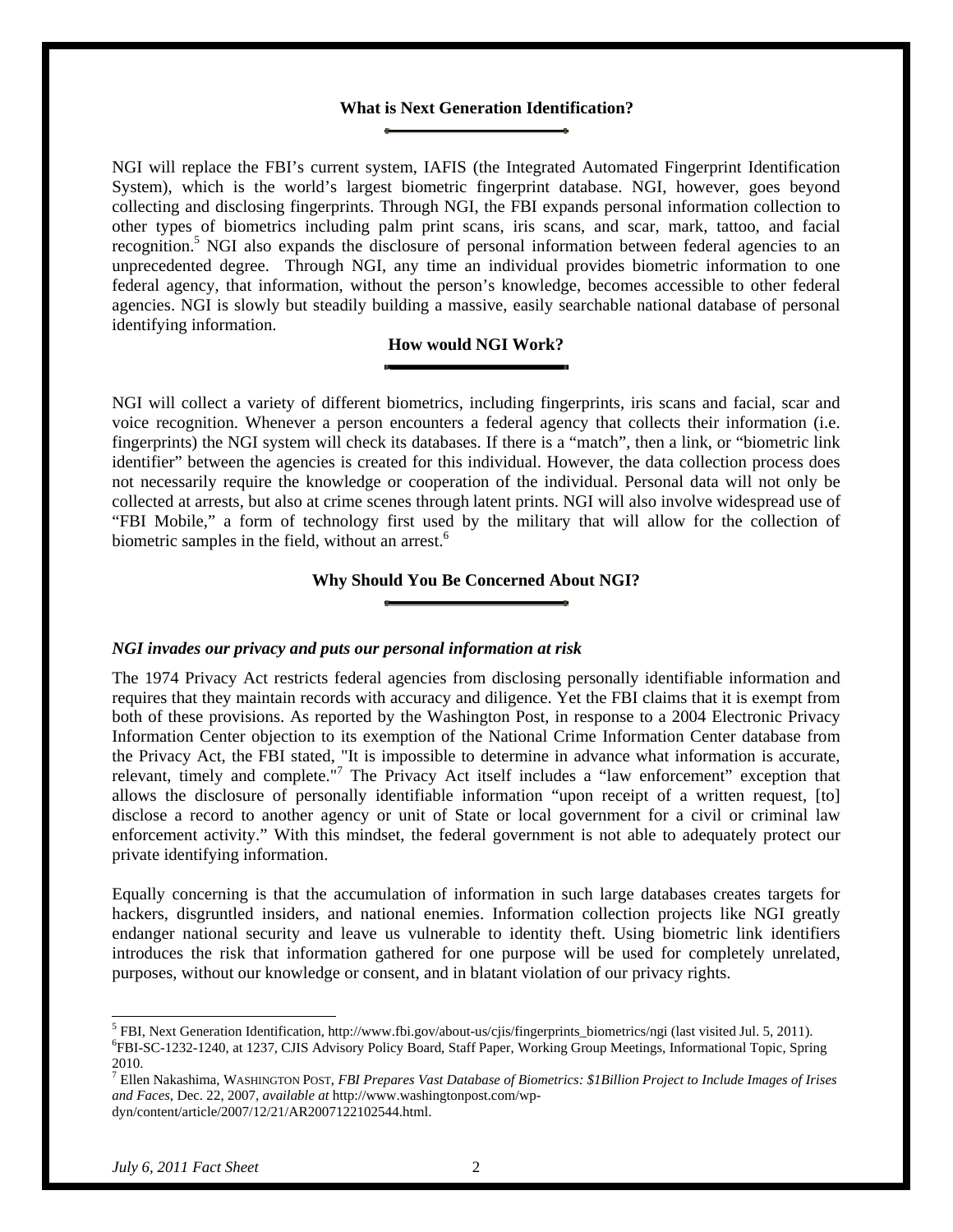#### **What is Next Generation Identification?**

NGI will replace the FBI's current system, IAFIS (the Integrated Automated Fingerprint Identification System), which is the world's largest biometric fingerprint database. NGI, however, goes beyond collecting and disclosing fingerprints. Through NGI, the FBI expands personal information collection to other types of biometrics including palm print scans, iris scans, and scar, mark, tattoo, and facial recognition.<sup>5</sup> NGI also expands the disclosure of personal information between federal agencies to an unprecedented degree. Through NGI, any time an individual provides biometric information to one federal agency, that information, without the person's knowledge, becomes accessible to other federal agencies. NGI is slowly but steadily building a massive, easily searchable national database of personal identifying information.

# **How would NGI Work?**

NGI will collect a variety of different biometrics, including fingerprints, iris scans and facial, scar and voice recognition. Whenever a person encounters a federal agency that collects their information (i.e. fingerprints) the NGI system will check its databases. If there is a "match", then a link, or "biometric link identifier" between the agencies is created for this individual. However, the data collection process does not necessarily require the knowledge or cooperation of the individual. Personal data will not only be collected at arrests, but also at crime scenes through latent prints. NGI will also involve widespread use of "FBI Mobile," a form of technology first used by the military that will allow for the collection of biometric samples in the field, without an arrest.<sup>6</sup>

# **Why Should You Be Concerned About NGI?**

#### *NGI invades our privacy and puts our personal information at risk*

The 1974 Privacy Act restricts federal agencies from disclosing personally identifiable information and requires that they maintain records with accuracy and diligence. Yet the FBI claims that it is exempt from both of these provisions. As reported by the Washington Post, in response to a 2004 Electronic Privacy Information Center objection to its exemption of the National Crime Information Center database from the Privacy Act, the FBI stated, "It is impossible to determine in advance what information is accurate, relevant, timely and complete."<sup>7</sup> The Privacy Act itself includes a "law enforcement" exception that allows the disclosure of personally identifiable information "upon receipt of a written request, [to] disclose a record to another agency or unit of State or local government for a civil or criminal law enforcement activity." With this mindset, the federal government is not able to adequately protect our private identifying information.

Equally concerning is that the accumulation of information in such large databases creates targets for hackers, disgruntled insiders, and national enemies. Information collection projects like NGI greatly endanger national security and leave us vulnerable to identity theft. Using biometric link identifiers introduces the risk that information gathered for one purpose will be used for completely unrelated, purposes, without our knowledge or consent, and in blatant violation of our privacy rights.

 $\overline{a}$ 

<sup>&</sup>lt;sup>5</sup> FBI, Next Generation Identification, http://www.fbi.gov/about-us/cjis/fingerprints\_biometrics/ngi (last visited Jul. 5, 2011).  $^{6}$ FBI, Next Generational Topic Spring Advisory Policy Board, Staff Bapar, Working Group FBI-SC-1232-1240, at 1237, CJIS Advisory Policy Board, Staff Paper, Working Group Meetings, Informational Topic, Spring 2010.

<sup>7</sup> Ellen Nakashima, WASHINGTON POST, *FBI Prepares Vast Database of Biometrics: \$1Billion Project to Include Images of Irises and Faces*, Dec. 22, 2007, *available at* http://www.washingtonpost.com/wpdyn/content/article/2007/12/21/AR2007122102544.html.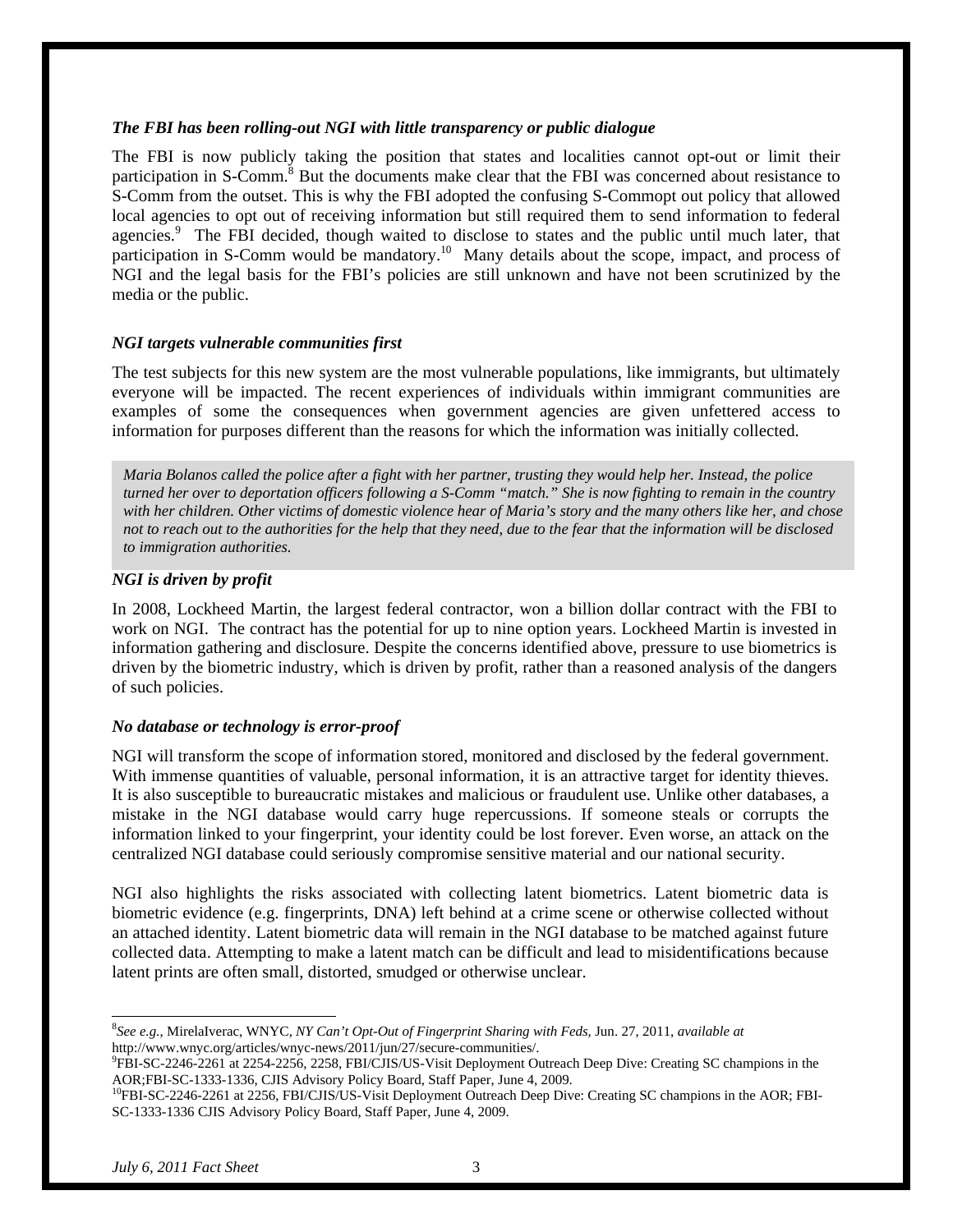#### *The FBI has been rolling-out NGI with little transparency or public dialogue*

The FBI is now publicly taking the position that states and localities cannot opt-out or limit their participation in S-Comm.<sup>8</sup> But the documents make clear that the FBI was concerned about resistance to S-Comm from the outset. This is why the FBI adopted the confusing S-Commopt out policy that allowed local agencies to opt out of receiving information but still required them to send information to federal agencies.<sup>9</sup> The FBI decided, though waited to disclose to states and the public until much later, that participation in S-Comm would be mandatory.<sup>10</sup> Many details about the scope, impact, and process of NGI and the legal basis for the FBI's policies are still unknown and have not been scrutinized by the media or the public.

#### *NGI targets vulnerable communities first*

The test subjects for this new system are the most vulnerable populations, like immigrants, but ultimately everyone will be impacted. The recent experiences of individuals within immigrant communities are examples of some the consequences when government agencies are given unfettered access to information for purposes different than the reasons for which the information was initially collected.

*Maria Bolanos called the police after a fight with her partner, trusting they would help her. Instead, the police turned her over to deportation officers following a S-Comm "match." She is now fighting to remain in the country with her children. Other victims of domestic violence hear of Maria's story and the many others like her, and chose not to reach out to the authorities for the help that they need, due to the fear that the information will be disclosed to immigration authorities.* 

#### *NGI is driven by profit*

In 2008, Lockheed Martin, the largest federal contractor, won a billion dollar contract with the FBI to work on NGI. The contract has the potential for up to nine option years. Lockheed Martin is invested in information gathering and disclosure. Despite the concerns identified above, pressure to use biometrics is driven by the biometric industry, which is driven by profit, rather than a reasoned analysis of the dangers of such policies.

### *No database or technology is error-proof*

NGI will transform the scope of information stored, monitored and disclosed by the federal government. With immense quantities of valuable, personal information, it is an attractive target for identity thieves. It is also susceptible to bureaucratic mistakes and malicious or fraudulent use. Unlike other databases, a mistake in the NGI database would carry huge repercussions. If someone steals or corrupts the information linked to your fingerprint, your identity could be lost forever. Even worse, an attack on the centralized NGI database could seriously compromise sensitive material and our national security.

NGI also highlights the risks associated with collecting latent biometrics. Latent biometric data is biometric evidence (e.g. fingerprints, DNA) left behind at a crime scene or otherwise collected without an attached identity. Latent biometric data will remain in the NGI database to be matched against future collected data. Attempting to make a latent match can be difficult and lead to misidentifications because latent prints are often small, distorted, smudged or otherwise unclear.

 $\overline{a}$ 

<sup>8</sup> *See e.g.*, MirelaIverac, WNYC, *NY Can't Opt-Out of Fingerprint Sharing with Feds*, Jun. 27, 2011, *available at*  http://www.wnyc.org/articles/wnyc-news/2011/jun/27/secure-communities/.

FBI-SC-2246-2261 at 2254-2256, 2258, FBI/CJIS/US-Visit Deployment Outreach Deep Dive: Creating SC champions in the AOR;FBI-SC-1333-1336, CJIS Advisory Policy Board, Staff Paper, June 4, 2009.<br><sup>10</sup>FBI-SC-2246-2261 at 2256, FBI/CJIS/US-Visit Deployment Outreach Deep Dive: Creating SC champions in the AOR; FBI-

SC-1333-1336 CJIS Advisory Policy Board, Staff Paper, June 4, 2009.